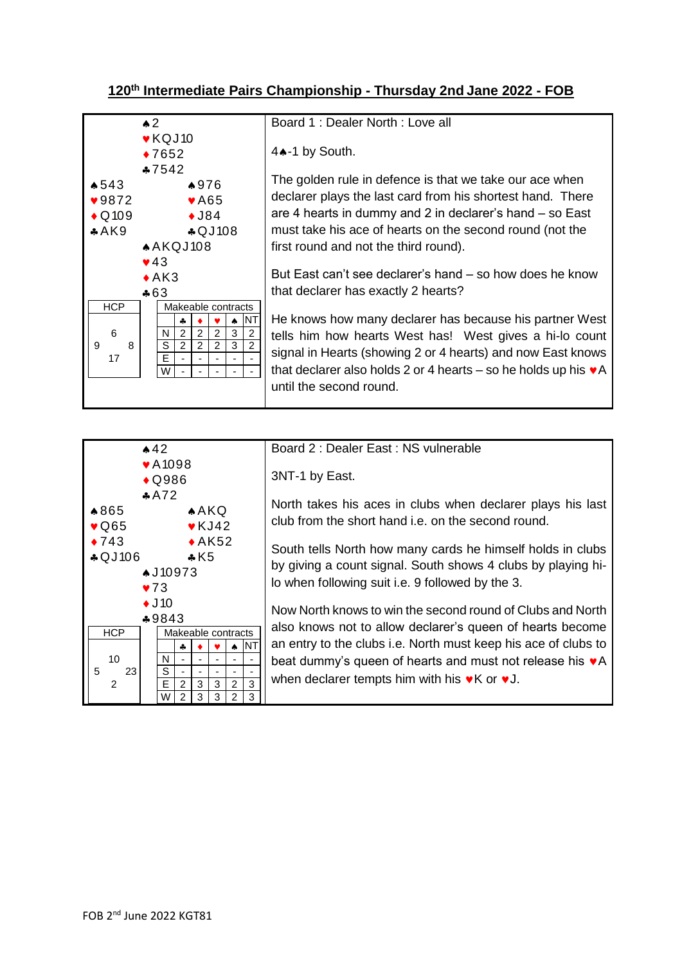## **120th Intermediate Pairs Championship - Thursday 2nd Jane 2022 - FOB**

| $\triangle 2$                                                               | Board 1: Dealer North: Love all                                            |
|-----------------------------------------------------------------------------|----------------------------------------------------------------------------|
| $\blacktriangleright$ KQJ10                                                 |                                                                            |
| $*7652$                                                                     | 4.4-1 by South.                                                            |
| $*7542$                                                                     |                                                                            |
| $\star 543$<br>▲976                                                         | The golden rule in defence is that we take our ace when                    |
| $\blacktriangledown 9872$<br>$\blacktriangleright$ A65                      | declarer plays the last card from his shortest hand. There                 |
| $\triangle$ Q109<br>$\triangle$ J84                                         | are 4 hearts in dummy and 2 in declarer's hand – so East                   |
| \$QJ108<br>AAK9                                                             | must take his ace of hearts on the second round (not the                   |
| AAKQJ108                                                                    | first round and not the third round).                                      |
| $\blacktriangledown$ 43                                                     |                                                                            |
| $\triangle$ AK3                                                             | But East can't see declarer's hand – so how does he know                   |
| $*63$                                                                       | that declarer has exactly 2 hearts?                                        |
| <b>HCP</b><br>Makeable contracts                                            |                                                                            |
| ΝT<br>♣                                                                     | He knows how many declarer has because his partner West                    |
| $\overline{2}$<br>6<br>$\overline{2}$<br>3<br>2<br>2<br>N.                  | tells him how hearts West has! West gives a hi-lo count                    |
| $\overline{2}$<br>S<br>3<br>$\overline{2}$<br>2<br>$\overline{c}$<br>9<br>8 | signal in Hearts (showing 2 or 4 hearts) and now East knows                |
| E<br>17<br>$\blacksquare$<br>W l<br>$\tilde{\phantom{a}}$                   | that declarer also holds 2 or 4 hearts – so he holds up his $\mathbf{v}$ A |
|                                                                             |                                                                            |
|                                                                             | until the second round.                                                    |
|                                                                             |                                                                            |

| $*42$                                                                                               | Board 2 : Dealer East : NS vulnerable                             |
|-----------------------------------------------------------------------------------------------------|-------------------------------------------------------------------|
| $\blacktriangleright$ A 1098                                                                        |                                                                   |
| $\bigstar$ Q986                                                                                     | 3NT-1 by East.                                                    |
| A72                                                                                                 |                                                                   |
| ▲865<br>A KQ                                                                                        | North takes his aces in clubs when declarer plays his last        |
| $\blacktriangleright$ KJ42<br>$\sqrt{0.65}$                                                         | club from the short hand i.e. on the second round.                |
| $\leftrightarrow$ AK52<br>$\triangle$ 743                                                           | South tells North how many cards he himself holds in clubs        |
| \$QJ106<br>$\cdot$ K5                                                                               | by giving a count signal. South shows 4 clubs by playing hi-      |
| <b>↑J10973</b>                                                                                      | lo when following suit i.e. 9 followed by the 3.                  |
| $\blacktriangledown 73$                                                                             |                                                                   |
| $\triangleleft$ J10                                                                                 | Now North knows to win the second round of Clubs and North        |
| $*9843$                                                                                             | also knows not to allow declarer's queen of hearts become         |
| <b>HCP</b><br>Makeable contracts                                                                    |                                                                   |
| <b>NT</b><br>٠.<br>۸                                                                                | an entry to the clubs i.e. North must keep his ace of clubs to    |
| 10<br>N.                                                                                            | beat dummy's queen of hearts and must not release his $\bullet A$ |
| S<br>5<br>23                                                                                        | when declarer tempts him with his $\bullet$ K or $\bullet$ J.     |
| 3<br>E<br>3<br>$\overline{2}$<br>$\mathfrak{p}$<br>3<br>2<br>3<br>2<br>3<br>$\mathcal{P}$<br>3<br>W |                                                                   |
|                                                                                                     |                                                                   |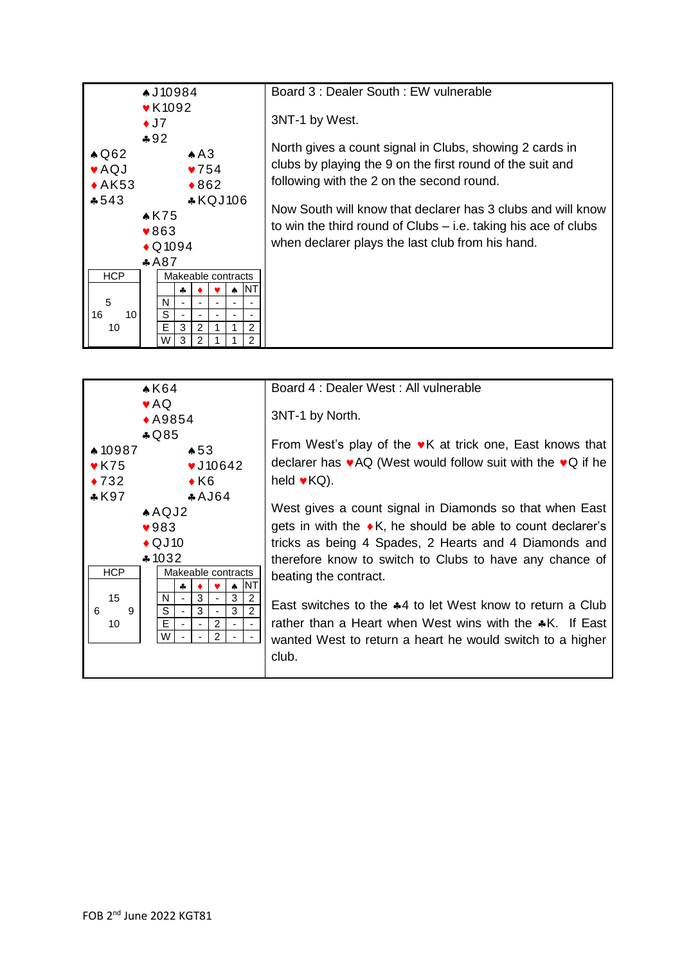



Board 4 : Dealer West : All vulnerable 3NT-1 by North. From West's play of the  $\mathbf{v}$ K at trick one, East knows that declarer has  $\mathbf{v}$ AQ (West would follow suit with the  $\mathbf{v}$ Q if he held  $\bullet$  KQ). West gives a count signal in Diamonds so that when East gets in with the  $\bullet$  K, he should be able to count declarer's tricks as being 4 Spades, 2 Hearts and 4 Diamonds and therefore know to switch to Clubs to have any chance of beating the contract.

East switches to the  $*4$  to let West know to return a Club rather than a Heart when West wins with the  $\clubsuit K$ . If East wanted West to return a heart he would switch to a higher club.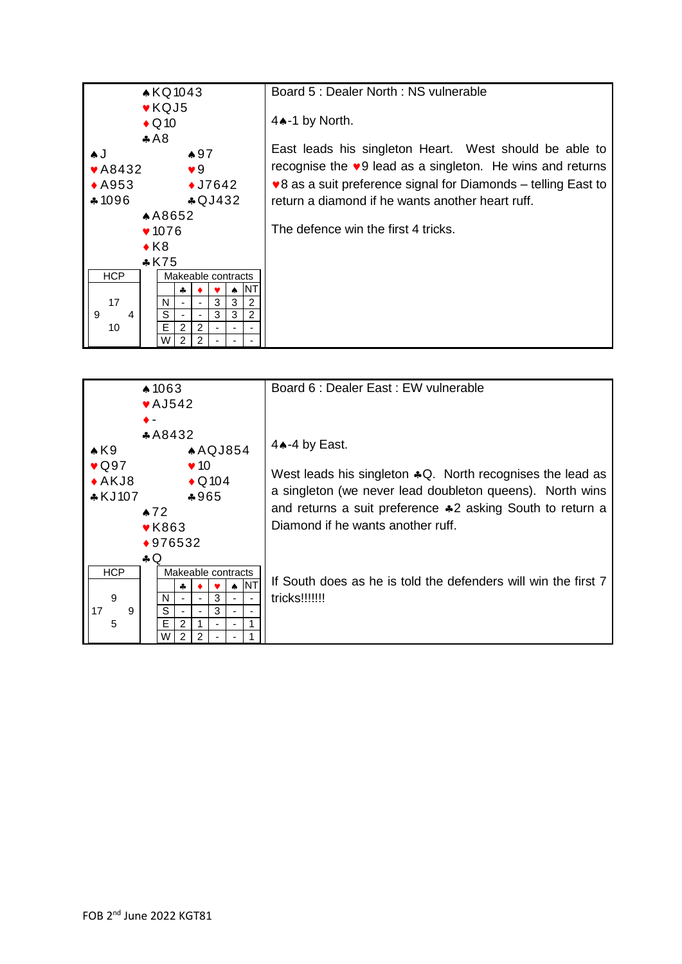

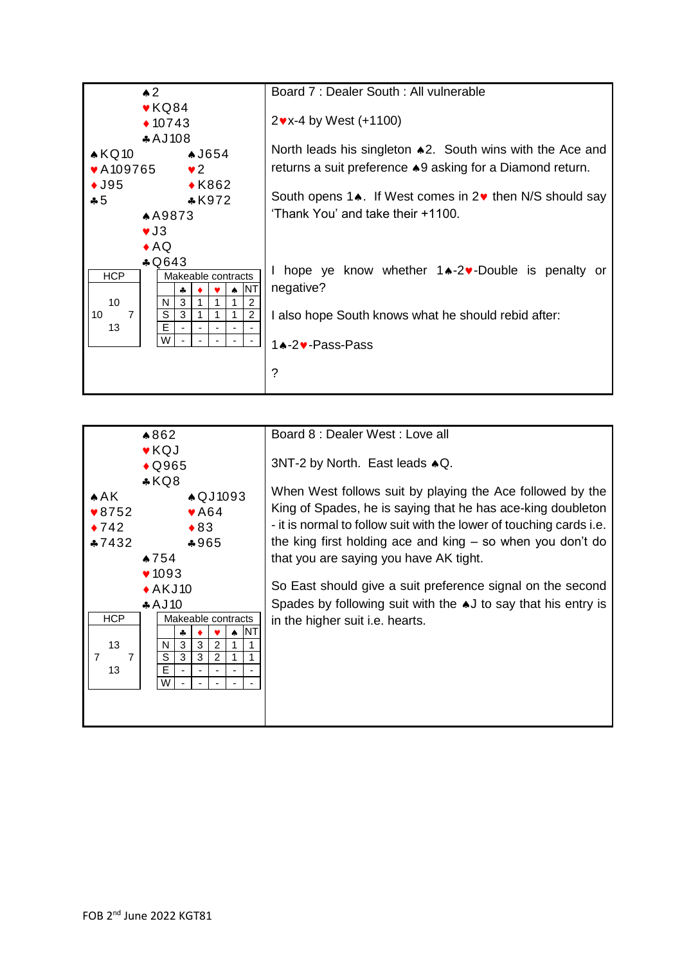

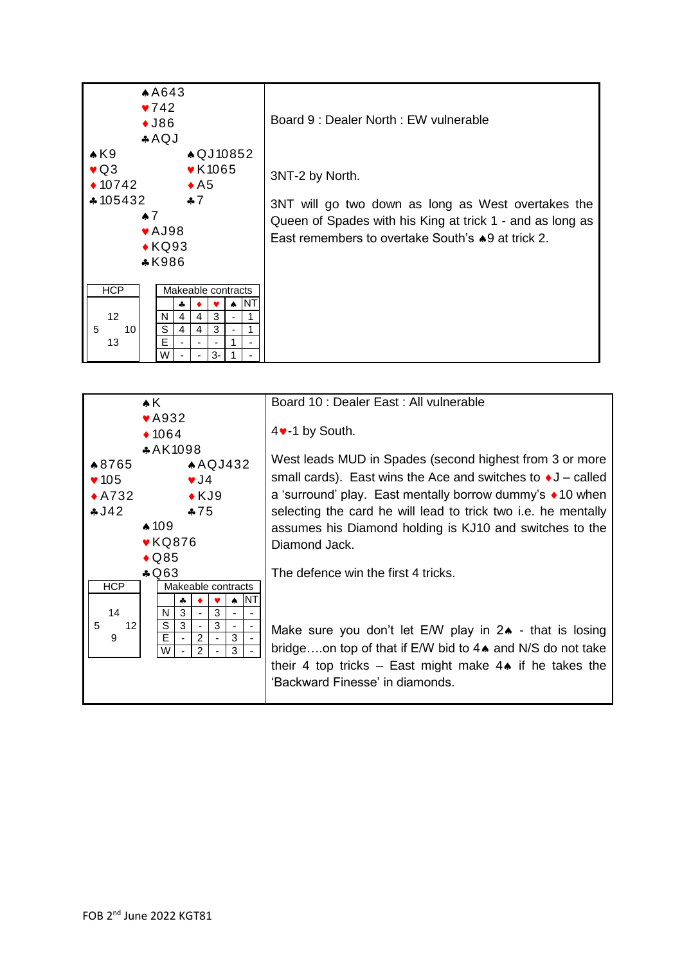



## 4<sup>v</sup>-1 by South. West leads MUD in Spades (second highest from 3 or more small cards). East wins the Ace and switches to  $\triangleleft J$  – called a 'surround' play. East mentally borrow dummy's ♦ 10 when selecting the card he will lead to trick two i.e. he mentally assumes his Diamond holding is KJ10 and switches to the Diamond Jack.

The defence win the first 4 tricks.

Make sure you don't let E/W play in  $2 \cdot \cdot$  that is losing bridge....on top of that if E/W bid to 4 $\bullet$  and N/S do not take their 4 top tricks – East might make  $4\spadesuit$  if he takes the 'Backward Finesse' in diamonds.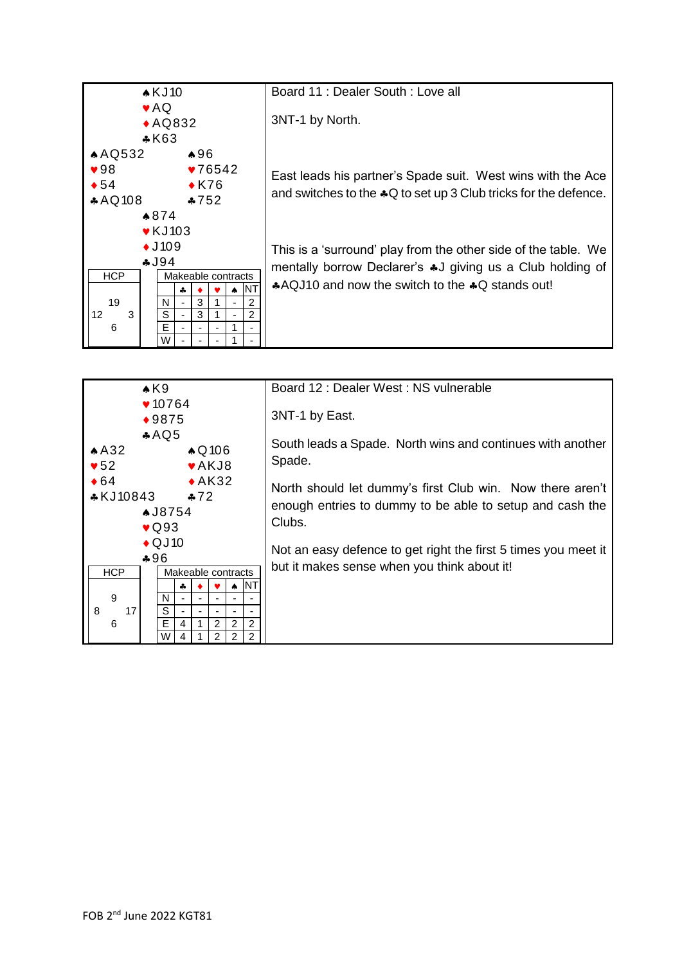

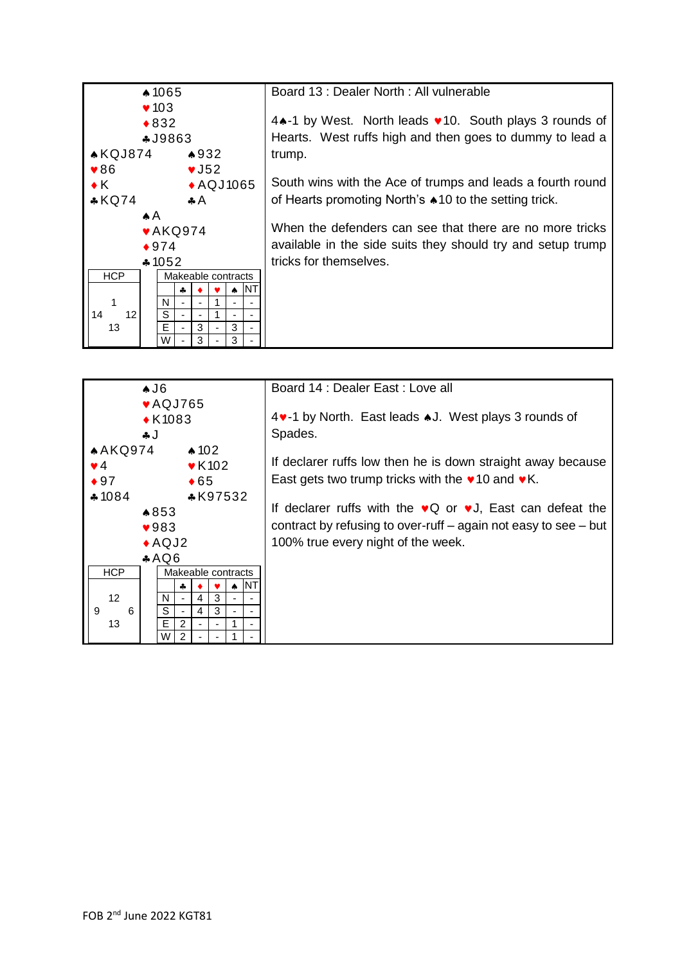

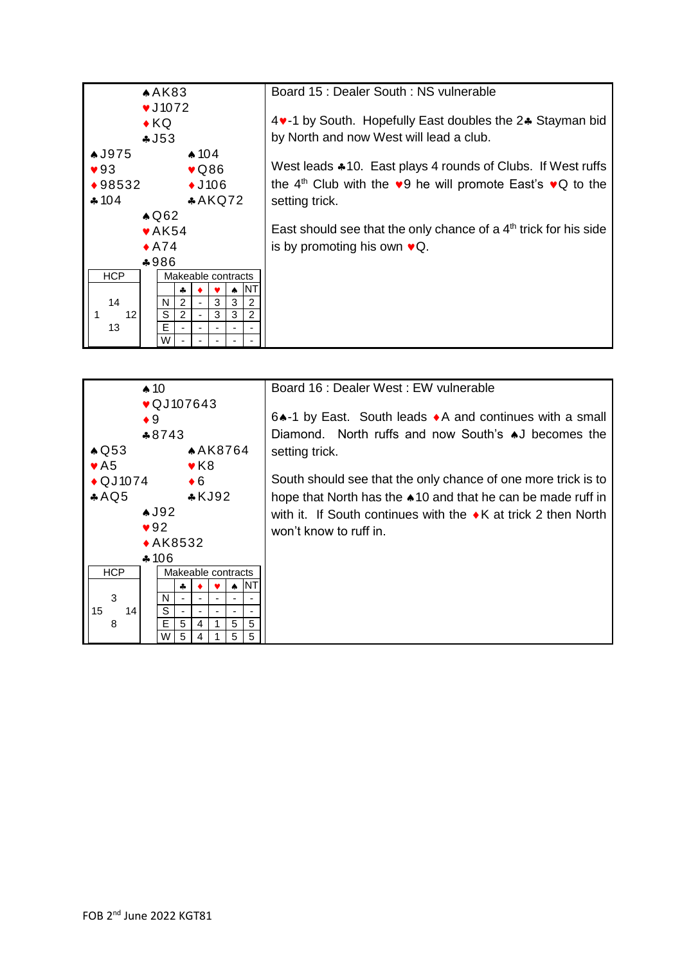

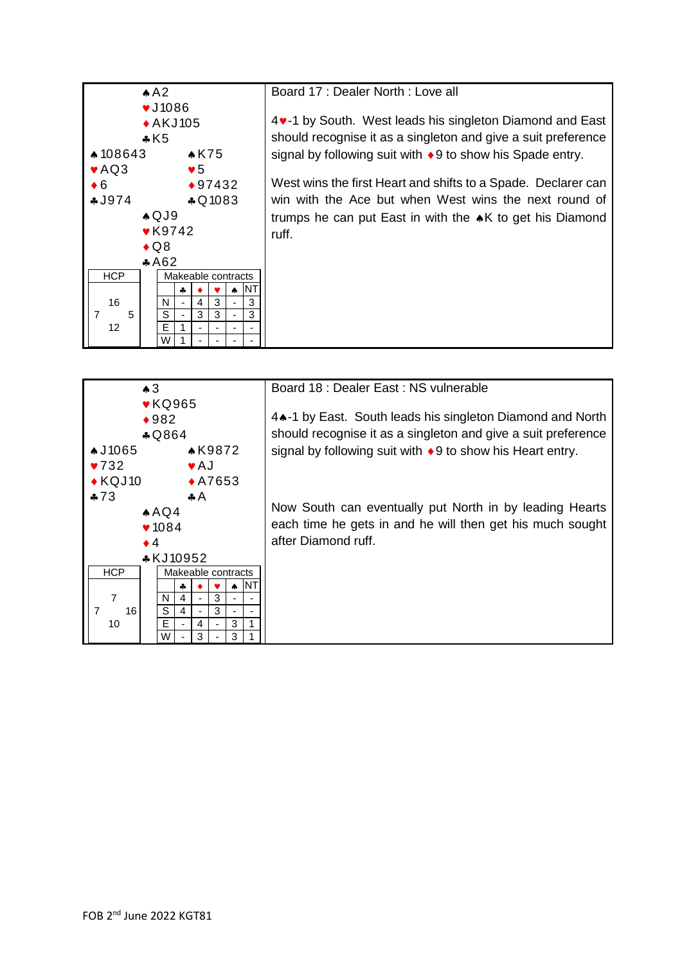

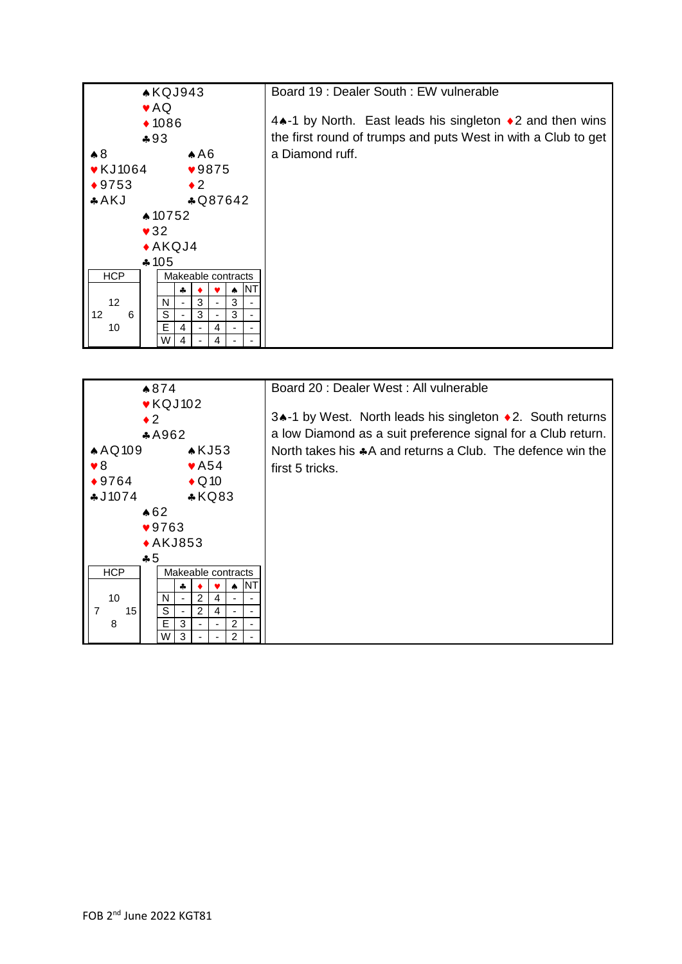

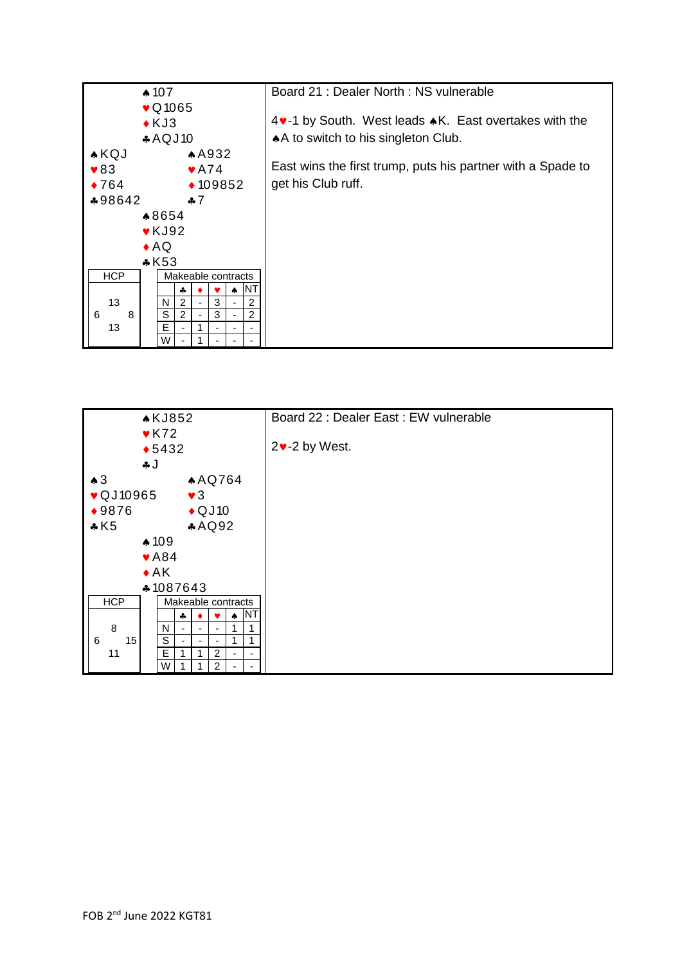

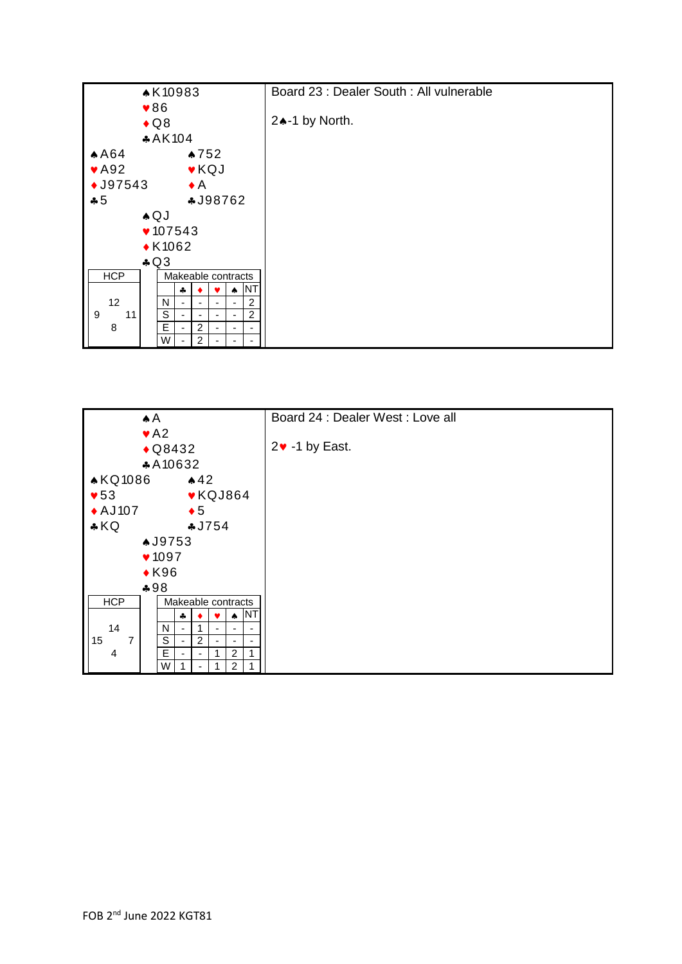

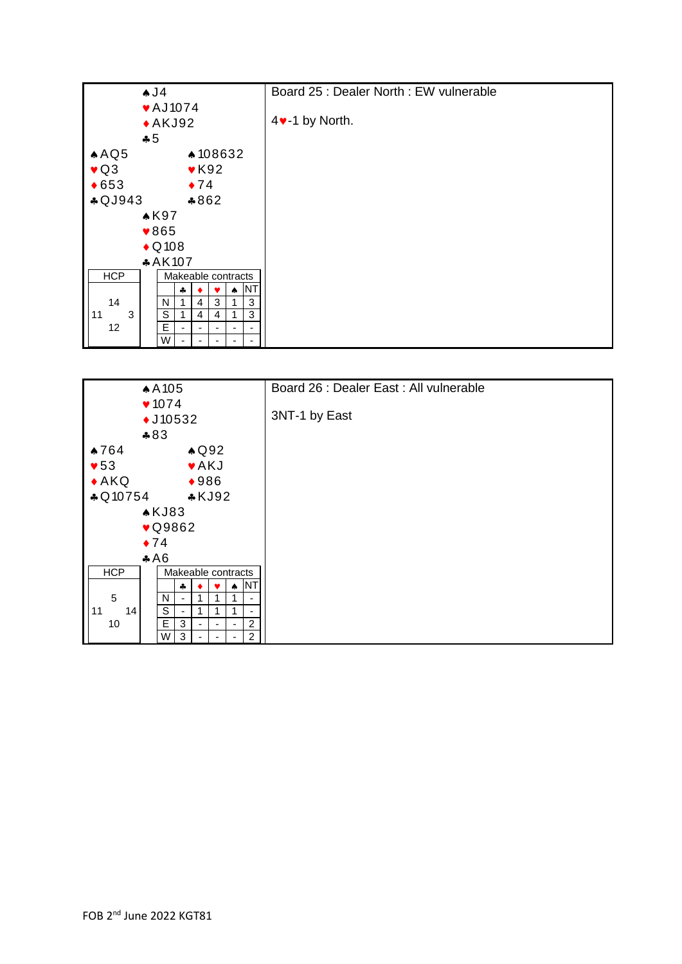